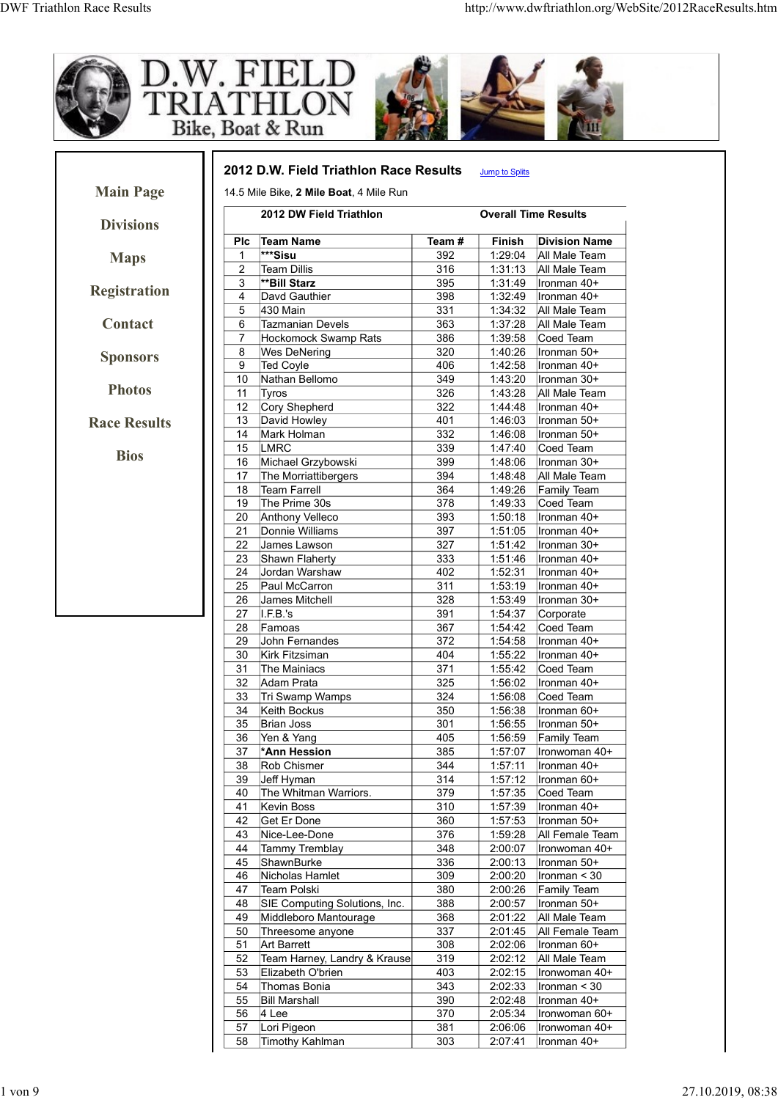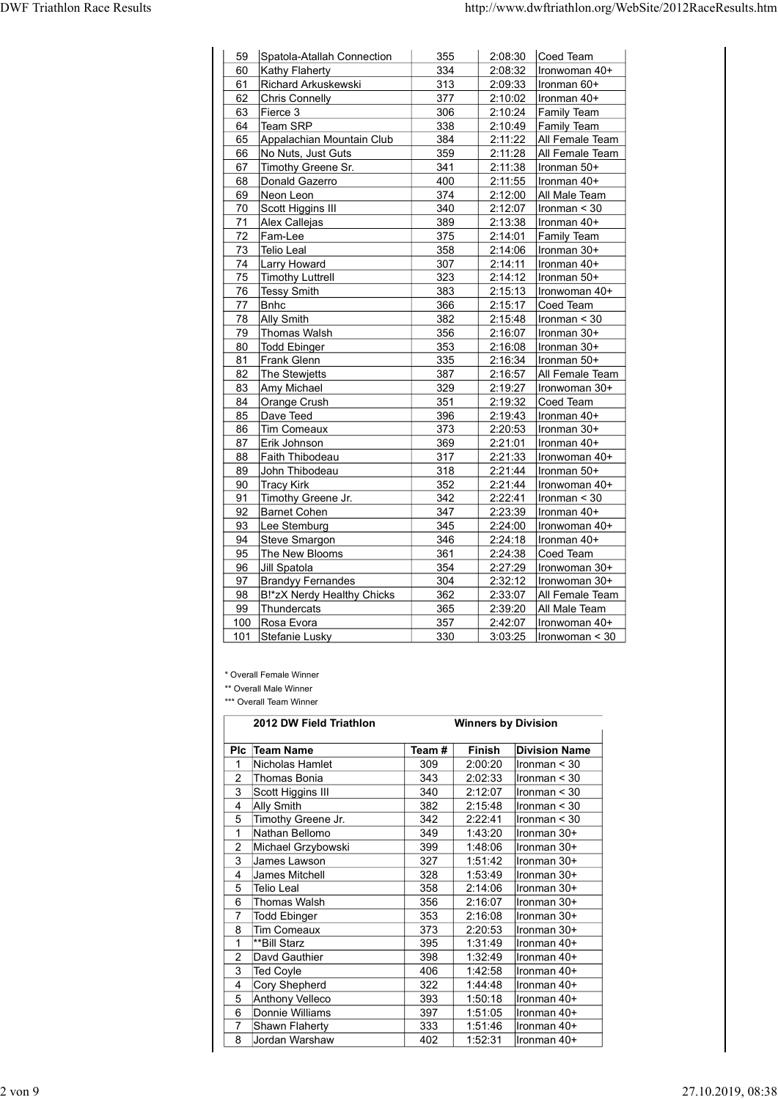| <b>DWF Triathlon Race Results</b> |                                                   |            |                                                          |                                     |
|-----------------------------------|---------------------------------------------------|------------|----------------------------------------------------------|-------------------------------------|
|                                   |                                                   |            |                                                          |                                     |
|                                   |                                                   |            |                                                          |                                     |
|                                   |                                                   |            | http://www.dwftriathlon.org/WebSite/2012RaceResults.htm  |                                     |
|                                   | 59 Spatola-Atallah Connection                     | 355        | $2:08:30$ Coed Team                                      |                                     |
| 60<br>61                          | <b>Kathy Flaherty</b><br>Richard Arkuskewski      | 334<br>313 | 2:08:32<br>2:09:33                                       | Ironwoman 40+<br>Ironman 60+        |
| 62<br>63                          | Chris Connelly<br>Fierce 3                        | 377<br>306 | 2:10:02<br>2:10:24<br><b>Family Team</b>                 | Ironman 40+                         |
| 64                                | Team SRP<br>Appalachian Mountain Club             | 338<br>384 | $2:10:49$ Family Team                                    |                                     |
| 65<br>66                          | No Nuts, Just Guts                                | 359        | 2:11:22<br>$2:11:28$  All Female Team                    | All Female Team                     |
| 67<br>68                          | Timothy Greene Sr.<br>Donald Gazerro              | 341<br>400 | 2:11:38<br>2:11:55                                       | $l$ ronman 50+<br>Ironman 40+       |
| 69                                | Neon Leon                                         | 374        | 2:12:00                                                  | All Male Team                       |
| 70<br>71                          | Scott Higgins III<br>Alex Callejas                | 340<br>389 | 2:12:07<br>2:13:38<br>Ironman 40+                        | $l$ ronman < 30                     |
| 72                                | Fam-Lee                                           | 375        | 2:14:01<br><b>Family Team</b>                            |                                     |
| 73<br>74                          | Telio Leal<br>Larry Howard                        | 358<br>307 | 2:14:06<br>$l$ ronman 30+<br>2:14:11   Ironman 40+       |                                     |
|                                   | 75 Timothy Luttrell                               | 323        | $2:14:12$  Ironman 50+                                   |                                     |
| 76<br>77                          | Tessy Smith<br>Bnhc                               | 383<br>366 | 2:15:13<br>Coed Team<br>2:15:17                          | Ironwoman 40+                       |
| 78<br>79                          | Ally Smith<br>Thomas Walsh                        | 382<br>356 | 2:15:48<br>2:16:07                                       | $\vert$ Ironman < 30<br>Ironman 30+ |
| 80                                | Todd Ebinger                                      | 353        | 2:16:08                                                  | Ironman 30+                         |
| 81<br>82                          | Frank Glenn<br>The Stewjetts                      | 335<br>387 | 2:16:34<br>2:16:57                                       | Ironman 50+<br>All Female Team      |
| 83                                | Amy Michael                                       | 329        | 2:19:27                                                  | Ironwoman 30+                       |
| 84<br>85                          | Orange Crush<br>Dave Teed                         | 351<br>396 | 2:19:32<br>Coed Team<br>2:19:43                          | Ironman 40+                         |
| 86                                | Tim Comeaux                                       | 373        | 2:20:53                                                  | Ironman 30+                         |
| 87<br>88                          | Erik Johnson<br>Faith Thibodeau                   | 369<br>317 | 2:21:01<br>$l$ ronman 40+<br>2:21:33                     | Ironwoman 40+                       |
| 89                                | John Thibodeau                                    | 318        | 2:21:44                                                  | Ironman 50+                         |
| 90<br>91                          | <b>Tracy Kirk</b><br>Timothy Greene Jr.           | 352<br>342 | 2:21:44<br>2:22:41                                       | Ironwoman 40+<br>$l$ ronman < 30    |
| 92<br>93                          | Barnet Cohen<br>Lee Stemburg                      | 347<br>345 | 2:23:39<br>Ironman 40+<br>2:24:00                        | Ironwoman 40+                       |
| 94                                | Steve Smargon                                     | 346        | 2:24:18                                                  | Ironman 40+                         |
| 95<br>96                          | The New Blooms<br>Jill Spatola                    | 361<br>354 | $2:24:38$ Coed Team<br>2:27:29                           | Ironwoman 30+                       |
| 97                                | <b>Brandyy Fernandes</b>                          | 304        | $2:32:12$  Ironwoman 30+                                 |                                     |
| 98<br>99                          | B!*zX Nerdy Healthy Chicks<br>Thundercats         | 362<br>365 | 2:33:07   All Female Team<br>2:39:20                     | All Male Team                       |
|                                   | 100 Rosa Evora                                    | 357        | 2:42:07                                                  | Ironwoman 40+                       |
|                                   | 101 Stefanie Lusky                                | 330        | 3:03:25                                                  | $ $ Ironwoman < 30                  |
|                                   | * Overall Female Winner                           |            |                                                          |                                     |
|                                   | ** Overall Male Winner<br>*** Overall Team Winner |            |                                                          |                                     |
|                                   | 2012 DW Field Triathlon                           |            | <b>Winners by Division</b>                               |                                     |
|                                   | Plc Team Name                                     | Team #     | Finish<br><b>Division Name</b>                           |                                     |
|                                   | Nicholas Hamlet<br>2 Thomas Bonia                 | 309<br>343 | 2:00:20<br>$l$ ronman < 30<br>$l$ ronman < 30<br>2:02:33 |                                     |
|                                   | 3 Scott Higgins III                               | 340        | 2:12:07<br>Ironman $<$ 30                                |                                     |
|                                   | 4 Ally Smith<br>5 Timothy Greene Jr.              | 382<br>342 | Ironman $<$ 30<br>2:15:48<br>2:22:41<br>Ironman $<$ 30   |                                     |
| 1                                 | Nathan Bellomo                                    | 349        | 1:43:20<br>Ironman 30+                                   |                                     |
|                                   | 2 Michael Grzybowski<br>3 James Lawson            | 399<br>327 | 1:48:06<br>Ironman $30+$<br>1:51:42<br>Ironman 30+       |                                     |
|                                   | 4 James Mitchell                                  | 328        | 1:53:49<br>Ironman 30+<br>$2.14.06$ Ironman $30 +$       |                                     |
|                                   | $\overline{5}$ Telio Leal                         | 358        |                                                          |                                     |

|                | <b>Tracy Kirk</b>                                                                                       | 352        | 2:21:44                    | Ironwoman 40+              |
|----------------|---------------------------------------------------------------------------------------------------------|------------|----------------------------|----------------------------|
| 91             | Timothy Greene Jr.                                                                                      | 342        | 2:22:41                    | Ironman < 30               |
| 92             | <b>Barnet Cohen</b>                                                                                     | 347        | 2:23:39                    | Ironman 40+                |
| 93             | Lee Stemburg                                                                                            | 345        | 2:24:00                    | Ironwoman 40+              |
| 94             | Steve Smargon                                                                                           | 346        | 2:24:18                    | Ironman 40+                |
| 95             | The New Blooms                                                                                          | 361        | 2:24:38                    | Coed Team                  |
| 96             | Jill Spatola                                                                                            | 354        | 2:27:29                    | Ironwoman 30+              |
| 97             | <b>Brandyy Fernandes</b>                                                                                | 304        | 2:32:12                    | Ironwoman 30+              |
| 98             | B!*zX Nerdy Healthy Chicks                                                                              | 362        | 2:33:07                    | All Female Team            |
| 99             | Thundercats                                                                                             | 365        | 2:39:20                    | All Male Team              |
| 100            | Rosa Evora                                                                                              | 357        | 2:42:07                    | Ironwoman 40+              |
| 101            | Stefanie Lusky                                                                                          | 330        | 3:03:25                    | Ironwoman < 30             |
|                | * Overall Female Winner<br>** Overall Male Winner<br>*** Overall Team Winner<br>2012 DW Field Triathlon |            | <b>Winners by Division</b> |                            |
|                | Plc Team Name                                                                                           | Team #     | Finish                     | <b>Division Name</b>       |
| $\mathbf{1}$   | Nicholas Hamlet                                                                                         | 309        | 2:00:20                    | Ironman < 30               |
| $\overline{2}$ | Thomas Bonia                                                                                            | 343        | 2:02:33                    | Ironman < 30               |
| 3              | Scott Higgins III                                                                                       | 340        | 2:12:07                    | Ironman $<$ 30             |
| 4              | <b>Ally Smith</b>                                                                                       | 382        | 2:15:48                    | Ironman < 30               |
| 5              | Timothy Greene Jr.                                                                                      | 342        | 2:22:41                    | Ironman < 30               |
| $\mathbf{1}$   | Nathan Bellomo                                                                                          | 349        | 1:43:20                    | Ironman 30+                |
|                | Michael Grzybowski                                                                                      | 399        | 1:48:06                    | Ironman 30+                |
| $\overline{2}$ |                                                                                                         |            |                            | Ironman 30+                |
| 3              | James Lawson                                                                                            | 327        | 1:51:42                    |                            |
| 4              | James Mitchell                                                                                          | 328        | 1:53:49                    | Ironman 30+                |
| 5              | Telio Leal                                                                                              | 358        | 2:14:06                    | Ironman 30+                |
| 6              | Thomas Walsh                                                                                            | 356        | 2:16:07                    | Ironman 30+                |
| $\overline{7}$ | Todd Ebinger                                                                                            | 353        | 2:16:08                    | Ironman 30+                |
| 8              | <b>Tim Comeaux</b>                                                                                      | 373        | 2:20:53                    | Ironman 30+                |
| $\mathbf{1}$   | **Bill Starz                                                                                            | 395        | 1:31:49                    | Ironman 40+                |
| $\overline{2}$ | Davd Gauthier                                                                                           | 398        | 1:32:49                    | Ironman 40+                |
| 3              | Ted Coyle                                                                                               | 406        | 1:42:58                    | Ironman 40+                |
| 4              | Cory Shepherd                                                                                           | 322        | 1:44:48                    | Ironman 40+                |
| 5              | Anthony Velleco                                                                                         | 393        | 1:50:18                    | Ironman 40+                |
| 6              | Donnie Williams                                                                                         | 397        | 1:51:05                    | Ironman 40+                |
| 7<br>8         | Shawn Flaherty                                                                                          | 333<br>402 | 1:51:46<br>1:52:31         | Ironman 40+<br>Ironman 40+ |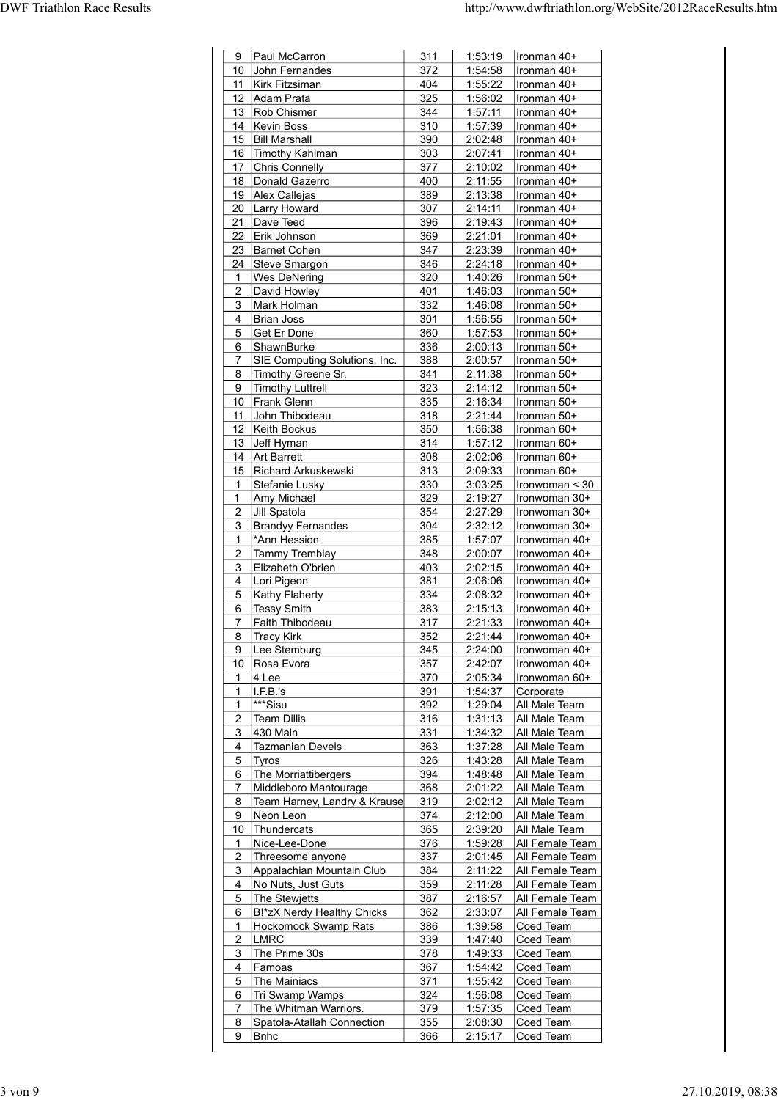|                                                                 |            |                    | http://www.dwftriathlon.org/WebSite/2012RaceResults.htm |
|-----------------------------------------------------------------|------------|--------------------|---------------------------------------------------------|
|                                                                 |            |                    |                                                         |
|                                                                 | 311        | 1:53:19            | Ironman 40+                                             |
| 9 Paul McCarron<br>10 John Fernandes                            | 372        | 1:54:58            | Ironman 40+                                             |
| 11   Kirk Fitzsiman                                             | 404        | 1:55:22            | Ironman 40+                                             |
| 12 Adam Prata                                                   | 325        | 1:56:02            | Ironman 40+                                             |
| 13 Rob Chismer                                                  | 344        | 1:57:11            | Ironman 40+                                             |
| 14   Kevin Boss                                                 | 310        | 1:57:39            | Ironman 40+                                             |
| 15 Bill Marshall                                                | 390        | 2:02:48            | Ironman 40+                                             |
| 16 Timothy Kahlman                                              | 303        | 2:07:41            | Ironman 40+                                             |
| 17 Chris Connelly                                               | 377        | 2:10:02            | Ironman 40+                                             |
| 18 Donald Gazerro                                               | 400        | 2:11:55            | Ironman 40+                                             |
| 19 Alex Callejas                                                | 389        | 2:13:38            | Ironman 40+                                             |
| 20 Larry Howard                                                 | 307        | 2:14:11            | Ironman 40+                                             |
| 21 Dave Teed                                                    | 396        | 2:19:43            | Ironman 40+                                             |
| 22 Erik Johnson                                                 | 369        | 2:21:01            | Ironman 40+                                             |
| 23 Barnet Cohen                                                 | 347        | 2:23:39            | Ironman 40+                                             |
| 24 Steve Smargon                                                | 346        |                    | $2:24:18$   Ironman 40+                                 |
| 1   Wes DeNering                                                | 320        |                    | 1:40:26   Ironman 50+                                   |
| 2 David Howley                                                  | 401        | 1:46:03            | $l$ ronman 50+                                          |
| 3   Mark Holman                                                 | 332        | 1:46:08            | Ironman 50+                                             |
| 4   Brian Joss                                                  | 301        | 1:56:55            | Ironman 50+                                             |
| 5 Get Er Done                                                   | 360        |                    | 1:57:53   Ironman 50+                                   |
| 6 ShawnBurke                                                    | 336        |                    | 2:00:13   Ironman 50+                                   |
| 7 SIE Computing Solutions, Inc.                                 | 388        | 2:00:57            | Ironman 50+                                             |
| 8 Timothy Greene Sr.                                            | 341        | 2:11:38            | Ironman 50+                                             |
| 9 Timothy Luttrell                                              | 323        |                    | 2:14:12   Ironman 50+                                   |
| 10 Frank Glenn                                                  | 335        | 2:16:34            | Ironman 50+                                             |
| 11 John Thibodeau                                               | 318        | 2:21:44            | Ironman 50+                                             |
| 12 Keith Bockus                                                 | 350        | 1:56:38            | Ironman 60+                                             |
| 13 Jeff Hyman                                                   | 314        |                    | 1:57:12   Ironman $60+$                                 |
| 14 Art Barrett                                                  | 308        | 2:02:06            | Ironman 60+                                             |
| 15 Richard Arkuskewski                                          | 313        | 2:09:33            | Ironman 60+                                             |
| 1 Stefanie Lusky                                                | 330        | 3:03:25            | $ $ Ironwoman < 30                                      |
| 1   Amy Michael                                                 | 329        | 2:19:27            | Ironwoman 30+                                           |
| 2 Jill Spatola                                                  | 354        | 2:27:29            | Ironwoman 30+                                           |
| 3 Brandyy Fernandes                                             | 304        |                    | $2:32:12$  Ironwoman 30+                                |
| 1 <sup>*</sup> Ann Hession                                      | 385        | 1:57:07            | Ironwoman 40+                                           |
| 2 Tammy Tremblay                                                | 348        | 2:00:07            | Ironwoman 40+                                           |
| 3 Elizabeth O'brien                                             | 403        |                    | $2:02:15$   Ironwoman 40+                               |
| 4 Lori Pigeon                                                   | 381        |                    | $2:06:06$  Ironwoman 40+                                |
| 5 Kathy Flaherty                                                | 334        |                    | $2:08:32$   Ironwoman 40+                               |
| 6 Tessy Smith                                                   | 383        |                    | $2:15:13$   Ironwoman 40+                               |
| 7 Faith Thibodeau                                               | 317        |                    | 2:21:33   Ironwoman 40+                                 |
| 8 Tracy Kirk                                                    | 352        |                    | $2:21:44$   Ironwoman 40+                               |
| 9 Lee Stemburg                                                  | 345        | 2:24:00            | Ironwoman 40+                                           |
| 10 Rosa Evora                                                   | 357        | 2:42:07            | Ironwoman 40+                                           |
| 1 4 Lee                                                         | 370        | 2:05:34            | Ironwoman 60+                                           |
| I.F.B.'s<br>$\mathbf{1}$<br><sup>***</sup> Sisu<br>$\mathbf{1}$ | 391<br>392 | 1:54:37<br>1:29:04 | Corporate<br>All Male Team                              |
| 2   Team Dillis                                                 | 316        | 1:31:13            | All Male Team                                           |
| 3 430 Main                                                      | 331        |                    | 1:34:32 $ $ All Male Team                               |
| 4   Tazmanian Devels                                            | 363        | 1:37:28            | All Male Team                                           |
| 5 Tyros                                                         | 326        | 1:43:28            | All Male Team                                           |
| 6 The Morriattibergers                                          | 394        | 1:48:48            | All Male Team                                           |
| 7 Middleboro Mantourage                                         | 368        |                    | $2:01:22$ All Male Team                                 |
| 8   Team Harney, Landry & Krause                                | 319        |                    | $2:02:12$ All Male Team                                 |
| 9 Neon Leon                                                     | 374        |                    | $2:12:00$ All Male Team                                 |
| 10 Thundercats                                                  | 365        |                    | $2:39:20$ All Male Team                                 |
| 1 Nice-Lee-Done                                                 | 376        |                    | 1:59:28 All Female Team                                 |
| 2 Threesome anyone                                              | 337        |                    | 2:01:45 All Female Team                                 |
| 3 Appalachian Mountain Club                                     | 384        |                    | 2:11:22   All Female Team                               |
| 4 No Nuts, Just Guts                                            | 359        |                    | 2:11:28   All Female Team                               |
| 5 The Stewjetts                                                 | 387        |                    | 2:16:57 All Female Team                                 |
| 6 B!*zX Nerdy Healthy Chicks                                    | 362        |                    | 2:33:07 All Female Team                                 |
| 1 Hockomock Swamp Rats                                          | 386        |                    | 1:39:58 $\vert$ Coed Team                               |
| $2$ LMRC                                                        | 339        |                    | 1:47:40 $\vert$ Coed Team                               |
| 3 The Prime 30s                                                 | 378        |                    | 1:49:33 Coed Team                                       |
| 4   Famoas                                                      | 367        |                    | 1:54:42 $\vert$ Coed Team                               |
| 5 The Mainiacs                                                  | 371        |                    | 1:55:42 $\vert$ Coed Team                               |
| 6 Tri Swamp Wamps                                               | 324        | 1:56:08            | Coed Team                                               |
| 7 The Whitman Warriors.                                         | 379        | 1:57:35            | Coed Team                                               |
| 8   Spatola-Atallah Connection<br>$9$ Bnhc                      | 355<br>366 |                    | $2:08:30$ Coed Team                                     |
|                                                                 |            | 2:15:17            | Coed Team                                               |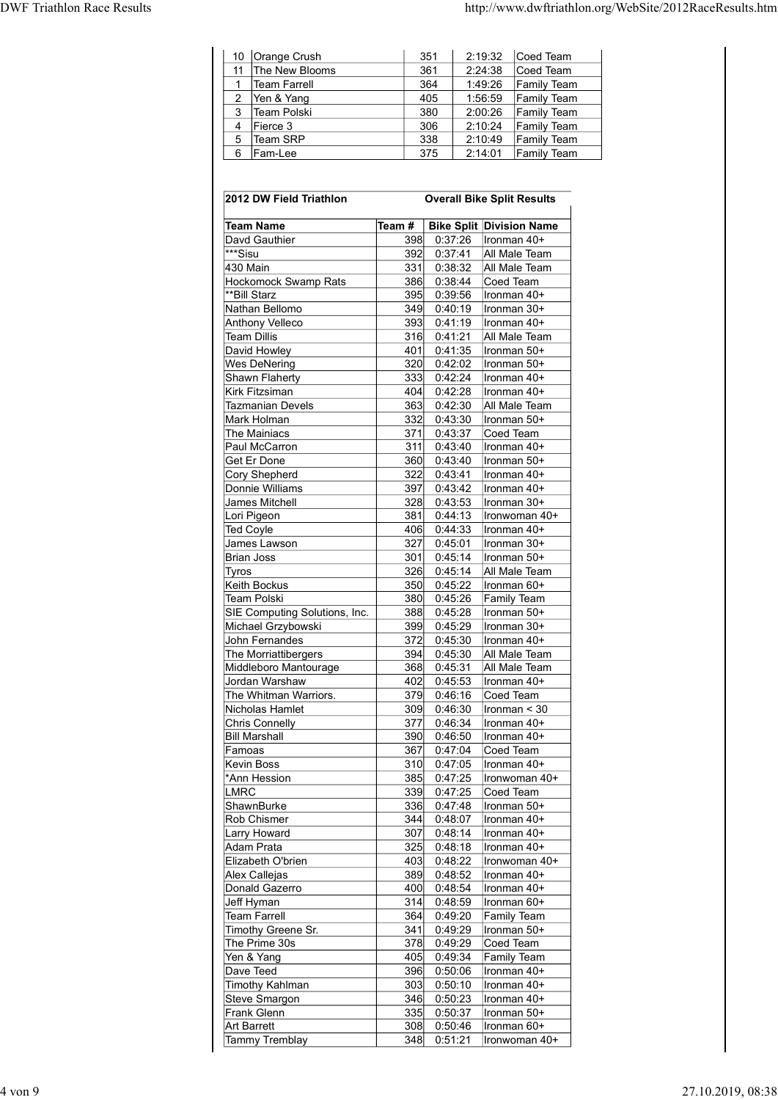| <b>DWF Triathlon Race Results</b> |                                  |            |                                                        | http://www.dwftriathlon.org/WebSite/2012RaceResults.htm |  |
|-----------------------------------|----------------------------------|------------|--------------------------------------------------------|---------------------------------------------------------|--|
|                                   |                                  |            |                                                        |                                                         |  |
|                                   |                                  |            |                                                        |                                                         |  |
|                                   |                                  |            |                                                        |                                                         |  |
|                                   | 10 Orange Crush                  | 351        | 2:19:32 $\vert$ Coed Team                              |                                                         |  |
|                                   | 11 The New Blooms                | 361        | 2:24:38<br>Coed Team                                   |                                                         |  |
|                                   | 1 Team Farrell<br>2 Yen & Yang   | 364<br>405 | 1:49:26<br><b>Family Team</b><br>1:56:59 Family Team   |                                                         |  |
|                                   | 3 Team Polski                    | 380        | 2:00:26    Family Team                                 |                                                         |  |
|                                   | 4 Fierce 3                       | 306        | 2:10:24<br><b>Family Team</b>                          |                                                         |  |
|                                   | 5 Team SRP                       | 338        | 2:10:49<br><b>Family Team</b>                          |                                                         |  |
|                                   | 6 Fam-Lee                        | 375        | 2:14:01 Family Team                                    |                                                         |  |
|                                   | 2012 DW Field Triathlon          |            | <b>Overall Bike Split Results</b>                      |                                                         |  |
|                                   | <b>Team Name</b>                 |            | Team #   Bike Split   Division Name                    |                                                         |  |
|                                   | Davd Gauthier                    |            | 398 0:37:26   Ironman 40+                              |                                                         |  |
|                                   | ***Sisu                          |            | 392 0:37:41 All Male Team                              |                                                         |  |
|                                   | 430 Main<br>Hockomock Swamn Rats | 331        | 0:38:32 All Male Team<br>386 $0.38 \cdot 44$ Coed Team |                                                         |  |

| 11<br>$\mathbf{1}$<br>2<br>3<br>4<br>5 | 10 Orange Crush<br>The New Blooms                   |            |            | 351                | 2:19:32            | Coed Team                         |
|----------------------------------------|-----------------------------------------------------|------------|------------|--------------------|--------------------|-----------------------------------|
|                                        |                                                     |            |            | 361                | 2:24:38            | Coed Team                         |
|                                        | <b>Team Farrell</b>                                 |            |            | 364                | 1:49:26            | Family Team                       |
|                                        | Yen & Yang<br>Team Polski                           |            |            | 405<br>380         | 1:56:59<br>2:00:26 | <b>Family Team</b><br>Family Team |
|                                        | Fierce 3                                            |            |            | 306                | 2:10:24            | Family Team                       |
| 6                                      | Team SRP<br>Fam-Lee                                 |            |            | 338<br>375         | 2:10:49<br>2:14:01 | Family Team<br><b>Family Team</b> |
|                                        |                                                     |            |            |                    |                    |                                   |
|                                        | 2012 DW Field Triathlon                             |            |            |                    |                    | <b>Overall Bike Split Results</b> |
|                                        | <b>Team Name</b>                                    | Team #     |            |                    |                    | <b>Bike Split Division Name</b>   |
|                                        | Davd Gauthier                                       |            | 398        | 0:37:26            |                    | Ironman 40+                       |
| ***Sisu<br>430 Main                    |                                                     | 392<br>331 |            | 0:37:41<br>0:38:32 |                    | All Male Team<br>All Male Team    |
|                                        | <b>Hockomock Swamp Rats</b>                         |            | 386        | 0:38:44            |                    | Coed Team                         |
|                                        | **Bill Starz<br>Nathan Bellomo                      |            | 395<br>349 | 0:39:56<br>0:40:19 |                    | Ironman 40+<br>Ironman 30+        |
|                                        | Anthony Velleco                                     |            | 393        | 0:41:19            |                    | Ironman 40+                       |
|                                        | <b>Team Dillis</b>                                  |            | 316        | 0:41:21            |                    | All Male Team                     |
|                                        | David Howley<br><b>Wes DeNering</b>                 | 401        | 320        | 0:41:35<br>0:42:02 |                    | Ironman 50+<br>Ironman 50+        |
|                                        | Shawn Flaherty                                      |            | 333        | 0:42:24            |                    | Ironman 40+                       |
|                                        | Kirk Fitzsiman<br><b>Tazmanian Devels</b>           |            | 404<br>363 | 0:42:28<br>0:42:30 |                    | Ironman 40+<br>All Male Team      |
|                                        | Mark Holman                                         |            | 332        | 0:43:30            |                    | Ironman 50+                       |
|                                        | The Mainiacs<br>Paul McCarron                       | 371        | 311        | 0:43:37<br>0:43:40 |                    | Coed Team<br>Ironman 40+          |
|                                        | Get Er Done                                         |            | 360        | 0:43:40            |                    | Ironman 50+                       |
|                                        | Cory Shepherd<br>Donnie Williams                    | 397        | 322        | 0:43:41<br>0:43:42 |                    | Ironman 40+<br>Ironman 40+        |
|                                        | James Mitchell                                      |            | 328        | 0:43:53            |                    | Ironman 30+                       |
| <b>Ted Coyle</b>                       | Lori Pigeon                                         | 381<br>406 |            | 0:44:13<br>0:44:33 |                    | Ironwoman 40+<br>Ironman 40+      |
|                                        | James Lawson                                        | 327        |            | 0:45:01            |                    | Ironman 30+                       |
|                                        | <b>Brian Joss</b>                                   | 301        |            | 0:45:14            |                    | Ironman 50+                       |
| Tyros                                  | Keith Bockus                                        | 326        | 350        | 0:45:14<br>0:45:22 |                    | All Male Team<br>Ironman 60+      |
|                                        | <b>Team Polski</b>                                  | 380        |            | 0:45:26            |                    | <b>Family Team</b>                |
|                                        | SIE Computing Solutions, Inc.<br>Michael Grzybowski | 388        | 399        | 0:45:28<br>0:45:29 |                    | Ironman 50+<br>Ironman 30+        |
|                                        | John Fernandes                                      | 372        |            | 0:45:30            |                    | Ironman 40+                       |
|                                        | The Morriattibergers<br>Middleboro Mantourage       | 394<br>368 |            | 0:45:30<br>0:45:31 |                    | All Male Team<br>All Male Team    |
|                                        | Jordan Warshaw                                      | 402        |            | 0:45:53            |                    | Ironman 40+                       |
|                                        | The Whitman Warriors.                               | 379        |            | 0:46:16            |                    | Coed Team                         |
|                                        | Nicholas Hamlet<br><b>Chris Connelly</b>            | 309<br>377 |            | 0:46:30<br>0:46:34 |                    | Ironman $<$ 30<br>Ironman 40+     |
|                                        | <b>Bill Marshall</b>                                |            | 390        | 0:46:50            |                    | Ironman 40+                       |
| Famoas                                 | <b>Kevin Boss</b>                                   | 367        | 310        | 0:47:04<br>0:47:05 |                    | Coed Team<br>Ironman 40+          |
|                                        | 'Ann Hession                                        | 385        |            | 0:47:25            |                    | Ironwoman 40+                     |
| <b>LMRC</b>                            | ShawnBurke                                          |            | 339<br>336 | 0:47:25<br>0:47:48 |                    | Coed Team<br>Ironman 50+          |
|                                        | Rob Chismer                                         | 344        |            | 0:48:07            |                    | Ironman 40+                       |
|                                        | <b>Larry Howard</b>                                 | 307        |            | 0:48:14            |                    | Ironman 40+                       |
|                                        | <b>Adam Prata</b><br>Elizabeth O'brien              | 325        | 403        | 0:48:18<br>0:48:22 |                    | Ironman 40+<br>Ironwoman 40+      |
|                                        | Alex Callejas                                       |            | 389        | 0:48:52            |                    | Ironman 40+                       |
|                                        | Donald Gazerro<br>Jeff Hyman                        | 400<br>314 |            | 0:48:54<br>0:48:59 |                    | Ironman 40+<br>Ironman 60+        |
|                                        | <b>Team Farrell</b>                                 | 364        |            | 0:49:20            |                    | <b>Family Team</b>                |
|                                        | Timothy Greene Sr.<br>The Prime 30s                 | 341<br>378 |            | 0:49:29<br>0:49:29 |                    | Ironman 50+<br>Coed Team          |
|                                        | Yen & Yang                                          | 405        |            | 0:49:34            |                    | <b>Family Team</b>                |
|                                        | Dave Teed                                           |            | 396        | 0:50:06            |                    | Ironman 40+                       |
|                                        | <b>Timothy Kahlman</b><br><b>Steve Smargon</b>      | 346        | 303        | 0:50:10<br>0:50:23 |                    | Ironman 40+<br>Ironman 40+        |
|                                        | Frank Glenn                                         |            | 335        | 0:50:37            |                    | Ironman 50+                       |
|                                        | <b>Art Barrett</b><br><b>Tammy Tremblay</b>         |            | 308<br>348 | 0:50:46<br>0:51:21 |                    | Ironman 60+<br>Ironwoman 40+      |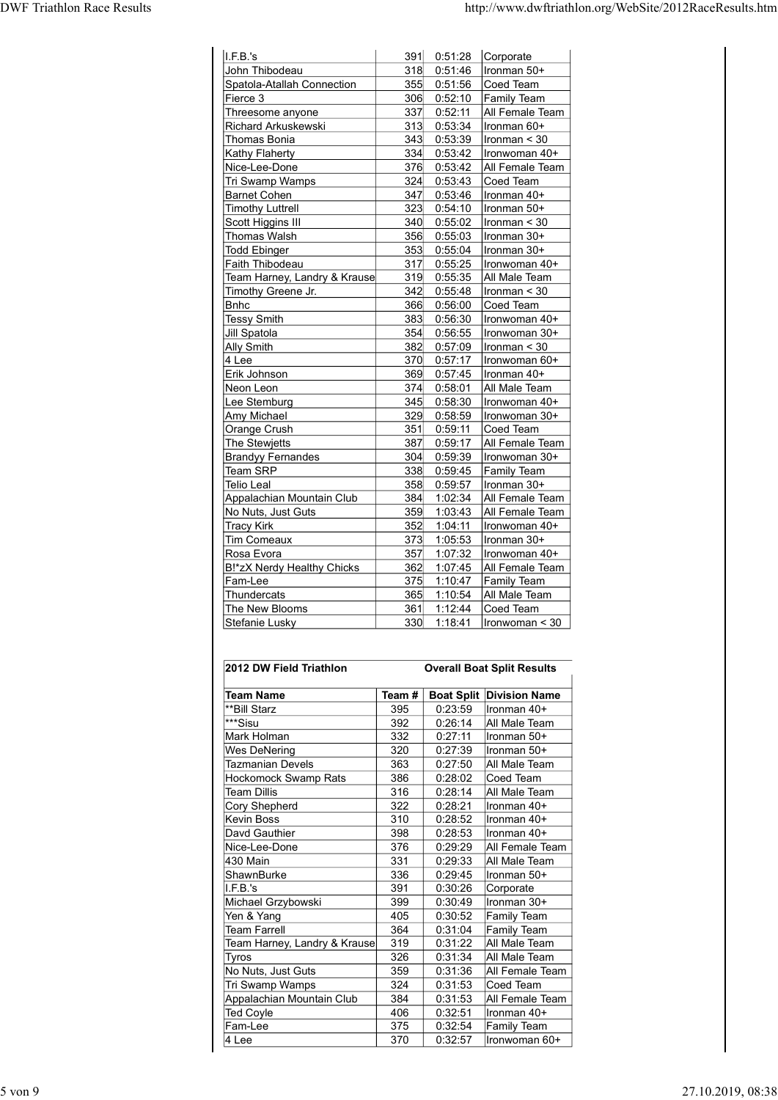| <b>DWF Triathlon Race Results</b>               |            |                    | http://www.dwftriathlon.org/WebSite/2012RaceResults.htm  |
|-------------------------------------------------|------------|--------------------|----------------------------------------------------------|
|                                                 |            |                    |                                                          |
| I.F.B.'s                                        | 391        | 0:51:28            | Corporate                                                |
| John Thibodeau                                  | 318        | 0:51:46            | Ironman 50+                                              |
| Spatola-Atallah Connection<br>Fierce 3          | 355<br>306 | 0:51:56            | Coed Team<br>$0:52:10$ Family Team                       |
| Threesome anyone                                | 337        | 0:52:11            | All Female Team                                          |
| Richard Arkuskewski                             | 313        | 0:53:34            | Ironman 60+                                              |
| Thomas Bonia                                    | 343        | 0:53:39            | Ironman < 30                                             |
| <b>Kathy Flaherty</b><br>Nice-Lee-Done          | 334<br>376 | 0:53:42<br>0:53:42 | Ironwoman 40+<br>All Female Team                         |
| Tri Swamp Wamps                                 | 324        | 0:53:43            | Coed Team                                                |
| Barnet Cohen                                    | 347        | 0:53:46            | Ironman 40+                                              |
| <b>Timothy Luttrell</b><br>Scott Higgins III    | 323<br>340 | 0:55:02            | $0:54:10$   Ironman $50+$<br>$l$ ronman < 30             |
| Thomas Walsh                                    | 356        | 0:55:03            | Ironman 30+                                              |
| <b>Todd Ebinger</b>                             | 353        | 0:55:04            | Ironman 30+                                              |
| Faith Thibodeau<br>Team Harney, Landry & Krause |            |                    | 317 0:55:25   Ironwoman 40+<br>319 0:55:35 All Male Team |
| Timothy Greene Jr.                              | 342        |                    | $0:55:48$  Ironman < 30                                  |
| Bnhc                                            | 366        |                    | $0:56:00$ Coed Team                                      |
| <b>Tessy Smith</b>                              | 383        | 0:56:30            | Ironwoman 40+                                            |
| Jill Spatola<br><b>Ally Smith</b>               | 354<br>382 | 0:56:55<br>0:57:09 | Ironwoman 30+<br>$l$ ronman < 30                         |
| $4$ Lee                                         | 370        | 0:57:17            | Ironwoman 60+                                            |
| Erik Johnson                                    | 369        | 0:57:45            | Ironman 40+                                              |
| Neon Leon                                       | 374<br>345 | 0:58:01            | All Male Team<br>Ironwoman 40+                           |
| Lee Stemburg<br>Amy Michael                     | 329        | 0:58:30<br>0:58:59 | Ironwoman 30+                                            |
| Orange Crush                                    | 351        | 0:59:11            | Coed Team                                                |
| The Stewjetts                                   | 387        | 0:59:17            | All Female Team                                          |
| <b>Brandyy Fernandes</b><br>Team SRP            | 304<br>338 | 0:59:39            | Ironwoman 30+<br>0:59:45 Family Team                     |
| Telio Leal                                      | 358        | 0:59:57            | Ironman 30+                                              |
| Appalachian Mountain Club                       | 384        | 1:02:34            | All Female Team                                          |
| No Nuts, Just Guts<br><b>Tracy Kirk</b>         | 359<br>352 | 1:03:43<br>1:04:11 | All Female Team<br>Ironwoman 40+                         |
| Tim Comeaux                                     | 373        | 1:05:53            | Ironman 30+                                              |
| Rosa Evora                                      | 357        |                    | 1:07:32   Ironwoman 40+                                  |
| B!*zX Nerdy Healthy Chicks<br>Fam-Lee           | 362<br>375 |                    | 1:07:45 All Female Team<br>1:10:47 Family Team           |
| Thundercats                                     |            |                    | 365 1:10:54 All Male Team                                |
| The New Blooms                                  | 361        |                    | 1:12:44 $\vert$ Coed Team                                |
| Stefanie Lusky                                  |            |                    | $330$ 1:18:41  Ironwoman < 30                            |
|                                                 |            |                    |                                                          |
| 2012 DW Field Triathlon                         |            |                    | <b>Overall Boat Split Results</b>                        |
| <b>Team Name</b>                                |            |                    | Team #   Boat Split   Division Name                      |
| **Bill Starz                                    | 395<br>392 |                    | $0:23:59$  Ironman 40+<br>$0:26:14$ All Male Team        |
|                                                 | 332        | 0:27:11            | Ironman 50+                                              |
| ***Sisu<br>Mark Holman                          | 320        | 0:27:39            | Ironman 50+                                              |
| <b>Wes DeNering</b>                             |            | 0:27:50            |                                                          |
| Tazmanian Devels                                | 363        |                    | All Male Team                                            |
| Hockomock Swamp Rats<br><b>Team Dillis</b>      | 386<br>316 | 0:28:02<br>0:28:14 | Coed Team<br>All Male Team                               |
| Cory Shepherd                                   | 322        | 0:28:21            | Ironman 40+                                              |
| Kevin Boss<br>Davd Gauthier                     | 310<br>398 | 0:28:52<br>0:28:53 | Ironman 40+<br>Ironman 40+                               |

|                              |                                                                                                                                                                                    | All Female Team                                                                                                                                                                                                                                                                                                         |
|------------------------------|------------------------------------------------------------------------------------------------------------------------------------------------------------------------------------|-------------------------------------------------------------------------------------------------------------------------------------------------------------------------------------------------------------------------------------------------------------------------------------------------------------------------|
|                              |                                                                                                                                                                                    | Ironwoman 30+                                                                                                                                                                                                                                                                                                           |
|                              |                                                                                                                                                                                    | Family Team                                                                                                                                                                                                                                                                                                             |
|                              |                                                                                                                                                                                    | Ironman 30+                                                                                                                                                                                                                                                                                                             |
| 384                          |                                                                                                                                                                                    | All Female Team                                                                                                                                                                                                                                                                                                         |
| 359                          | 1:03:43                                                                                                                                                                            | All Female Team                                                                                                                                                                                                                                                                                                         |
| 352                          | 1:04:11                                                                                                                                                                            | Ironwoman 40+                                                                                                                                                                                                                                                                                                           |
| 373                          | 1:05:53                                                                                                                                                                            | Ironman 30+                                                                                                                                                                                                                                                                                                             |
| 357                          | 1:07:32                                                                                                                                                                            | Ironwoman 40+                                                                                                                                                                                                                                                                                                           |
| 362                          | 1:07:45                                                                                                                                                                            | All Female Team                                                                                                                                                                                                                                                                                                         |
|                              |                                                                                                                                                                                    | Family Team                                                                                                                                                                                                                                                                                                             |
| 365                          | 1:10:54                                                                                                                                                                            | All Male Team                                                                                                                                                                                                                                                                                                           |
|                              |                                                                                                                                                                                    | Coed Team                                                                                                                                                                                                                                                                                                               |
| 330                          |                                                                                                                                                                                    | Ironwoman < 30                                                                                                                                                                                                                                                                                                          |
| Team#                        |                                                                                                                                                                                    | <b>Overall Boat Split Results</b><br><b>Boat Split Division Name</b>                                                                                                                                                                                                                                                    |
|                              |                                                                                                                                                                                    | Ironman 40+                                                                                                                                                                                                                                                                                                             |
|                              |                                                                                                                                                                                    | All Male Team                                                                                                                                                                                                                                                                                                           |
|                              |                                                                                                                                                                                    | Ironman 50+                                                                                                                                                                                                                                                                                                             |
|                              |                                                                                                                                                                                    | Ironman 50+                                                                                                                                                                                                                                                                                                             |
|                              |                                                                                                                                                                                    | All Male Team                                                                                                                                                                                                                                                                                                           |
|                              |                                                                                                                                                                                    | Coed Team                                                                                                                                                                                                                                                                                                               |
|                              |                                                                                                                                                                                    | All Male Team                                                                                                                                                                                                                                                                                                           |
|                              |                                                                                                                                                                                    | Ironman 40+                                                                                                                                                                                                                                                                                                             |
|                              |                                                                                                                                                                                    | Ironman 40+                                                                                                                                                                                                                                                                                                             |
|                              |                                                                                                                                                                                    | Ironman 40+                                                                                                                                                                                                                                                                                                             |
|                              |                                                                                                                                                                                    | All Female Team                                                                                                                                                                                                                                                                                                         |
|                              |                                                                                                                                                                                    |                                                                                                                                                                                                                                                                                                                         |
|                              |                                                                                                                                                                                    | All Male Team                                                                                                                                                                                                                                                                                                           |
|                              |                                                                                                                                                                                    | Ironman 50+                                                                                                                                                                                                                                                                                                             |
|                              |                                                                                                                                                                                    | Corporate                                                                                                                                                                                                                                                                                                               |
|                              |                                                                                                                                                                                    | Ironman 30+                                                                                                                                                                                                                                                                                                             |
|                              |                                                                                                                                                                                    | Family Team                                                                                                                                                                                                                                                                                                             |
|                              |                                                                                                                                                                                    | Family Team                                                                                                                                                                                                                                                                                                             |
|                              |                                                                                                                                                                                    | All Male Team                                                                                                                                                                                                                                                                                                           |
|                              |                                                                                                                                                                                    | All Male Team                                                                                                                                                                                                                                                                                                           |
|                              |                                                                                                                                                                                    | All Female Team                                                                                                                                                                                                                                                                                                         |
|                              | 0:31:53                                                                                                                                                                            | Coed Team                                                                                                                                                                                                                                                                                                               |
| 384                          | 0:31:53                                                                                                                                                                            | All Female Team                                                                                                                                                                                                                                                                                                         |
| 406                          | 0:32:51                                                                                                                                                                            | Ironman 40+                                                                                                                                                                                                                                                                                                             |
| 375                          | 0:32:54                                                                                                                                                                            | Family Team                                                                                                                                                                                                                                                                                                             |
| 370                          | 0:32:57                                                                                                                                                                            | Ironwoman 60+                                                                                                                                                                                                                                                                                                           |
|                              |                                                                                                                                                                                    |                                                                                                                                                                                                                                                                                                                         |
|                              |                                                                                                                                                                                    |                                                                                                                                                                                                                                                                                                                         |
| Team Harney, Landry & Krause | 387<br>304<br>358<br>375<br>361<br>395<br>392<br>332<br>320<br>363<br>386<br>316<br>322<br>310<br>398<br>376<br>331<br>336<br>391<br>399<br>405<br>364<br>319<br>326<br>359<br>324 | 0:59:17<br>0:59:39<br>0:59:45<br>338<br>0:59:57<br>1:02:34<br>1:10:47<br>1:12:44<br>1:18:41<br>0:23:59<br>0:26:14<br>0:27:11<br>0:27:39<br>0:27:50<br>0:28:02<br>0:28:14<br>0:28:21<br>0:28:52<br>0:28:53<br>0:29:29<br>0:29:33<br>0:29:45<br>0:30:26<br>0:30:49<br>0:30:52<br>0:31:04<br>0:31:22<br>0:31:34<br>0:31:36 |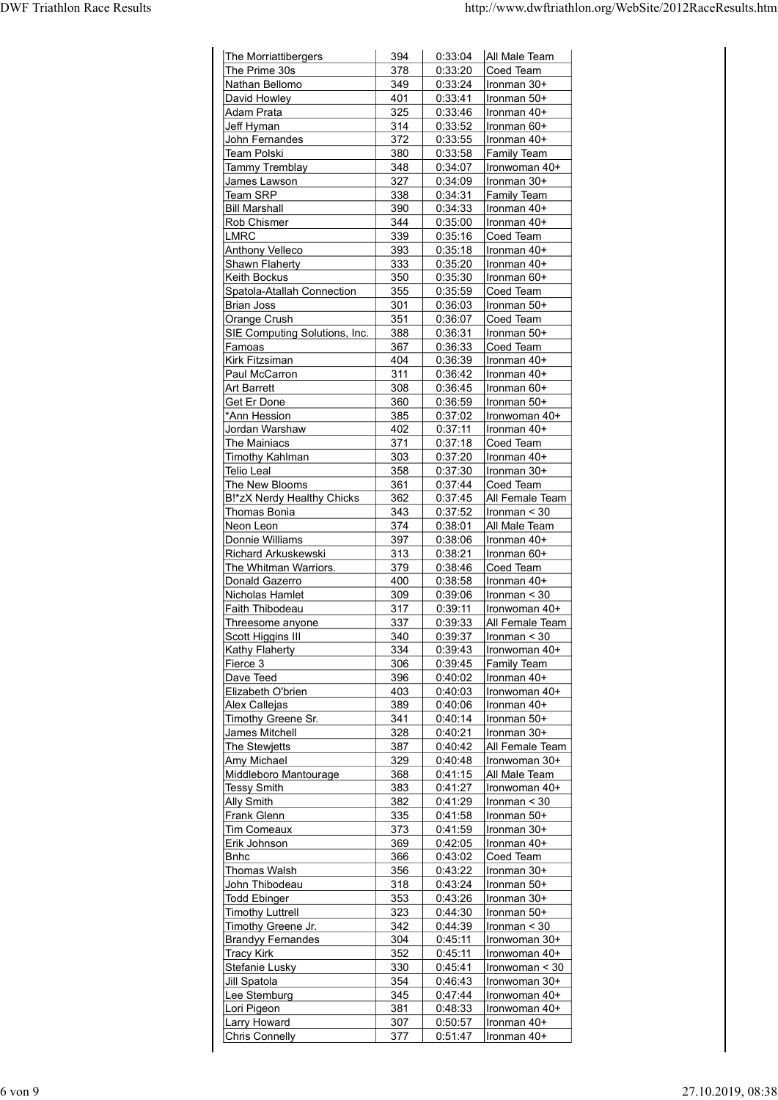| 394        | 0:33:04                                                                                                                                                                                                                                                  | All Male Team                                                                                                                                                                                                                                                                                                                                                                                                                             |
|------------|----------------------------------------------------------------------------------------------------------------------------------------------------------------------------------------------------------------------------------------------------------|-------------------------------------------------------------------------------------------------------------------------------------------------------------------------------------------------------------------------------------------------------------------------------------------------------------------------------------------------------------------------------------------------------------------------------------------|
| 378<br>349 | 0:33:20<br>0:33:24                                                                                                                                                                                                                                       | Coed Team<br>Ironman 30+                                                                                                                                                                                                                                                                                                                                                                                                                  |
| 401        | 0:33:41                                                                                                                                                                                                                                                  | Ironman 50+                                                                                                                                                                                                                                                                                                                                                                                                                               |
| 314        | 0:33:52                                                                                                                                                                                                                                                  | Ironman 40+<br>Ironman 60+                                                                                                                                                                                                                                                                                                                                                                                                                |
| 372        | 0:33:55                                                                                                                                                                                                                                                  | Ironman 40+                                                                                                                                                                                                                                                                                                                                                                                                                               |
|            |                                                                                                                                                                                                                                                          | <b>Family Team</b><br>Ironwoman 40+                                                                                                                                                                                                                                                                                                                                                                                                       |
| 327        | 0:34:09                                                                                                                                                                                                                                                  | Ironman 30+                                                                                                                                                                                                                                                                                                                                                                                                                               |
|            |                                                                                                                                                                                                                                                          | Family Team<br>Ironman 40+                                                                                                                                                                                                                                                                                                                                                                                                                |
| 344        | 0:35:00                                                                                                                                                                                                                                                  | Ironman 40+                                                                                                                                                                                                                                                                                                                                                                                                                               |
|            |                                                                                                                                                                                                                                                          | Coed Team<br>Ironman 40+                                                                                                                                                                                                                                                                                                                                                                                                                  |
| 333        | 0:35:20                                                                                                                                                                                                                                                  | Ironman 40+                                                                                                                                                                                                                                                                                                                                                                                                                               |
|            |                                                                                                                                                                                                                                                          | Ironman 60+<br>Coed Team                                                                                                                                                                                                                                                                                                                                                                                                                  |
| 301        | 0:36:03                                                                                                                                                                                                                                                  | $l$ ronman 50+                                                                                                                                                                                                                                                                                                                                                                                                                            |
|            |                                                                                                                                                                                                                                                          | Coed Team<br>Ironman 50+                                                                                                                                                                                                                                                                                                                                                                                                                  |
| 367        | 0:36:33                                                                                                                                                                                                                                                  | Coed Team                                                                                                                                                                                                                                                                                                                                                                                                                                 |
| 404        | 0:36:39                                                                                                                                                                                                                                                  | Ironman 40+                                                                                                                                                                                                                                                                                                                                                                                                                               |
| 308        |                                                                                                                                                                                                                                                          | Ironman 40+<br>Ironman 60+                                                                                                                                                                                                                                                                                                                                                                                                                |
| 360        | 0:36:59                                                                                                                                                                                                                                                  | Ironman 50+                                                                                                                                                                                                                                                                                                                                                                                                                               |
|            |                                                                                                                                                                                                                                                          | Ironwoman 40+<br>Ironman 40+                                                                                                                                                                                                                                                                                                                                                                                                              |
| 371        |                                                                                                                                                                                                                                                          | Coed Team                                                                                                                                                                                                                                                                                                                                                                                                                                 |
|            |                                                                                                                                                                                                                                                          | Ironman 40+<br>$l$ ronman 30+                                                                                                                                                                                                                                                                                                                                                                                                             |
| 361        | 0:37:44                                                                                                                                                                                                                                                  | Coed Team                                                                                                                                                                                                                                                                                                                                                                                                                                 |
|            |                                                                                                                                                                                                                                                          | All Female Team<br>$ $ Ironman < 30                                                                                                                                                                                                                                                                                                                                                                                                       |
| 374        | 0:38:01                                                                                                                                                                                                                                                  | All Male Team                                                                                                                                                                                                                                                                                                                                                                                                                             |
|            |                                                                                                                                                                                                                                                          | Ironman 40+<br>Ironman 60+                                                                                                                                                                                                                                                                                                                                                                                                                |
| 379        | 0:38:46                                                                                                                                                                                                                                                  | Coed Team                                                                                                                                                                                                                                                                                                                                                                                                                                 |
|            | 0:38:58                                                                                                                                                                                                                                                  | Ironman 40+<br>$\ln{\frac{1}{10}}$                                                                                                                                                                                                                                                                                                                                                                                                        |
| 317        | 0:39:11                                                                                                                                                                                                                                                  | Ironwoman 40+                                                                                                                                                                                                                                                                                                                                                                                                                             |
| 337        |                                                                                                                                                                                                                                                          | All Female Team                                                                                                                                                                                                                                                                                                                                                                                                                           |
|            |                                                                                                                                                                                                                                                          | $ $ Ironman < 30<br>Ironwoman 40+                                                                                                                                                                                                                                                                                                                                                                                                         |
| 306        | 0:39:45                                                                                                                                                                                                                                                  | <b>Family Team</b>                                                                                                                                                                                                                                                                                                                                                                                                                        |
|            |                                                                                                                                                                                                                                                          | $l$ ronman 40+<br>Ironwoman 40+                                                                                                                                                                                                                                                                                                                                                                                                           |
| 389        | 0:40:06                                                                                                                                                                                                                                                  | Ironman 40+                                                                                                                                                                                                                                                                                                                                                                                                                               |
|            |                                                                                                                                                                                                                                                          | Ironman 50+<br>Ironman 30+                                                                                                                                                                                                                                                                                                                                                                                                                |
| 387        | 0:40:42                                                                                                                                                                                                                                                  | All Female Team                                                                                                                                                                                                                                                                                                                                                                                                                           |
| 329        | 0:40:48                                                                                                                                                                                                                                                  | Ironwoman 30+                                                                                                                                                                                                                                                                                                                                                                                                                             |
|            |                                                                                                                                                                                                                                                          | All Male Team<br>Ironwoman 40+                                                                                                                                                                                                                                                                                                                                                                                                            |
| 382        | 0:41:29                                                                                                                                                                                                                                                  | $ $ Ironman < 30                                                                                                                                                                                                                                                                                                                                                                                                                          |
|            |                                                                                                                                                                                                                                                          | Ironman 50+<br>Ironman 30+                                                                                                                                                                                                                                                                                                                                                                                                                |
| 369        |                                                                                                                                                                                                                                                          | $0:42:05$  Ironman 40+                                                                                                                                                                                                                                                                                                                                                                                                                    |
| 366        | 0:43:02                                                                                                                                                                                                                                                  | Coed Team                                                                                                                                                                                                                                                                                                                                                                                                                                 |
| 318        | 0:43:24                                                                                                                                                                                                                                                  | $l$ ronman 30+<br>Ironman 50+                                                                                                                                                                                                                                                                                                                                                                                                             |
| 353        | 0:43:26                                                                                                                                                                                                                                                  | $\vert$ Ironman 30+                                                                                                                                                                                                                                                                                                                                                                                                                       |
|            |                                                                                                                                                                                                                                                          | Ironman 50+<br>Ironman $<$ 30                                                                                                                                                                                                                                                                                                                                                                                                             |
| 304        | 0:45:11                                                                                                                                                                                                                                                  | Ironwoman 30+                                                                                                                                                                                                                                                                                                                                                                                                                             |
| 352        | 0:45:11                                                                                                                                                                                                                                                  | Ironwoman 40+<br>Ironwoman < 30                                                                                                                                                                                                                                                                                                                                                                                                           |
| 354        | 0:46:43                                                                                                                                                                                                                                                  | Ironwoman 30+                                                                                                                                                                                                                                                                                                                                                                                                                             |
| 345        | 0:47:44                                                                                                                                                                                                                                                  | Ironwoman 40+                                                                                                                                                                                                                                                                                                                                                                                                                             |
| 381<br>307 | 0:50:57                                                                                                                                                                                                                                                  | Ironwoman 40+<br>Ironman 40+                                                                                                                                                                                                                                                                                                                                                                                                              |
| 377        |                                                                                                                                                                                                                                                          |                                                                                                                                                                                                                                                                                                                                                                                                                                           |
|            | 325<br>380<br>348<br>338<br>390<br>339<br>393<br>350<br>355<br>351<br>388<br>311<br>385<br>402<br>303<br>358<br>362<br>343<br>397<br>313<br>400<br>309<br>340<br>334<br>396<br>403<br>341<br>328<br>368<br>383<br>335<br>373<br>356<br>323<br>342<br>330 | 0:33:46<br>0:33:58<br>0:34:07<br>0:34:31<br>0:34:33<br>0:35:16<br>0:35:18<br>0:35:30<br>0:35:59<br>0:36:07<br>0:36:31<br>0:36:42<br>0:36:45<br>0:37:02<br>0:37:11<br>0:37:18<br>0:37:20<br>0:37:30<br>0:37:45<br>0:37:52<br>0:38:06<br>0:38:21<br>0:39:06<br>0:39:33<br>0:39:37<br>0:39:43<br>0:40:02<br>0:40:03<br>0:40:14<br>0:40:21<br>0:41:15<br>0:41:27<br>0:41:58<br>0:41:59<br>0:43:22<br>0:44:30<br>0:44:39<br>0:45:41<br>0:48:33 |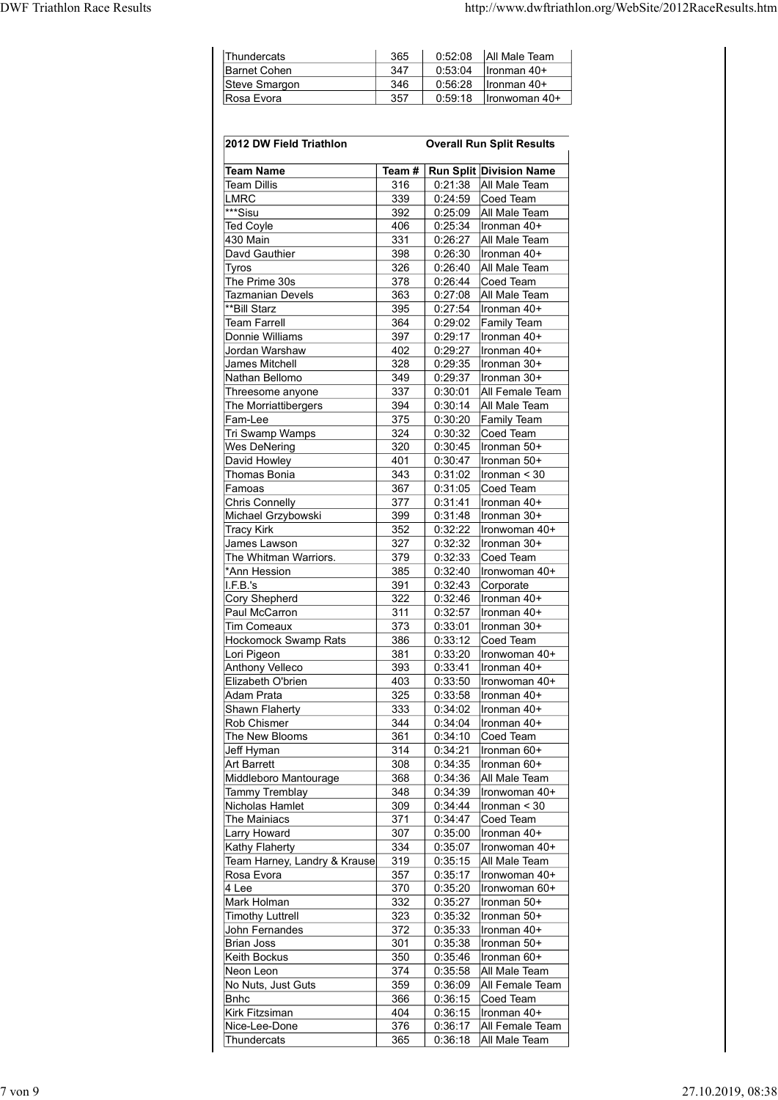| <b>DWF Triathlon Race Results</b> |                                    |                                  | http://www.dwftriathlon.org/WebSite/2012RaceResults.htm |
|-----------------------------------|------------------------------------|----------------------------------|---------------------------------------------------------|
|                                   |                                    |                                  |                                                         |
|                                   |                                    |                                  |                                                         |
|                                   |                                    |                                  |                                                         |
|                                   |                                    |                                  |                                                         |
|                                   | Thundercats<br><b>Barnet Cohen</b> | 365<br>0:52:08<br>347<br>0:53:04 | All Male Team<br>Ironman 40+                            |
|                                   | Steve Smargon                      | 0:56:28<br>346                   | Ironman 40+                                             |
|                                   | Rosa Evora                         | 357<br>0:59:18                   | Ironwoman 40+                                           |
|                                   |                                    |                                  |                                                         |
|                                   |                                    |                                  |                                                         |
|                                   | 2012 DW Field Triathlon            |                                  | <b>Overall Run Split Results</b>                        |
|                                   | <b>Team Name</b><br>$\sim$         |                                  | Team # Run Split Division Name                          |

| Thundercats                                 | 365          | 0:52:08            | All Male Team                            |
|---------------------------------------------|--------------|--------------------|------------------------------------------|
| <b>Barnet Cohen</b>                         | 347          | 0:53:04            | Ironman 40+                              |
| Steve Smargon<br>Rosa Evora                 | 346<br>357   | 0:56:28<br>0:59:18 | Ironman 40+<br>Ironwoman 40+             |
|                                             |              |                    |                                          |
| 2012 DW Field Triathlon                     |              |                    | <b>Overall Run Split Results</b>         |
|                                             |              |                    |                                          |
| <b>Team Name</b><br><b>Team Dillis</b>      | Team#<br>316 | 0:21:38            | Run Split Division Name<br>All Male Team |
| <b>LMRC</b>                                 | 339          | 0:24:59            | Coed Team                                |
| ***Sisu<br><b>Ted Coyle</b>                 | 392<br>406   | 0:25:09<br>0:25:34 | All Male Team<br>Ironman 40+             |
| 430 Main                                    | 331          | 0:26:27            | All Male Team                            |
| Davd Gauthier<br>Tyros                      | 398<br>326   | 0:26:30<br>0:26:40 | Ironman 40+<br>All Male Team             |
| The Prime 30s                               | 378          | 0:26:44            | Coed Team                                |
| <b>Tazmanian Devels</b>                     | 363          | 0:27:08            | All Male Team                            |
| **Bill Starz<br><b>Team Farrell</b>         | 395<br>364   | 0:27:54<br>0:29:02 | Ironman 40+<br>Family Team               |
| Donnie Williams                             | 397          | 0:29:17            | Ironman 40+                              |
| Jordan Warshaw<br>James Mitchell            | 402<br>328   | 0:29:27<br>0:29:35 | Ironman 40+<br>Ironman 30+               |
| Nathan Bellomo                              | 349          | 0:29:37            | Ironman 30+                              |
| Threesome anyone<br>The Morriattibergers    | 337<br>394   | 0:30:01<br>0:30:14 | All Female Team<br>All Male Team         |
| Fam-Lee                                     | 375          | 0:30:20            | Family Team                              |
| Tri Swamp Wamps                             | 324          | 0:30:32            | Coed Team                                |
| <b>Wes DeNering</b><br>David Howley         | 320<br>401   | 0:30:45<br>0:30:47 | Ironman 50+<br>Ironman 50+               |
| Thomas Bonia                                | 343          | 0:31:02            | Ironman < 30                             |
| Famoas<br><b>Chris Connelly</b>             | 367<br>377   | 0:31:05<br>0:31:41 | Coed Team<br>Ironman 40+                 |
| Michael Grzybowski                          | 399          | 0:31:48            | Ironman 30+                              |
| <b>Tracy Kirk</b><br>James Lawson           | 352<br>327   | 0:32:22<br>0:32:32 | Ironwoman 40+                            |
| The Whitman Warriors.                       | 379          | 0:32:33            | Ironman 30+<br>Coed Team                 |
| *Ann Hession                                | 385          | 0:32:40            | Ironwoman 40+                            |
| I.F.B.'s<br><b>Cory Shepherd</b>            | 391<br>322   | 0:32:43<br>0:32:46 | Corporate<br>Ironman 40+                 |
| Paul McCarron                               | 311          | 0:32:57            | Ironman 40+                              |
| <b>Tim Comeaux</b><br>Hockomock Swamp Rats  | 373<br>386   | 0:33:01<br>0:33:12 | Ironman 30+<br>Coed Team                 |
| Lori Pigeon                                 | 381          | 0:33:20            | Ironwoman 40+                            |
| <b>Anthony Velleco</b>                      | 393          | 0:33:41            | Ironman 40+                              |
| Elizabeth O'brien<br>Adam Prata             | 403<br>325   | 0:33:50<br>0:33:58 | Ironwoman 40+<br>Ironman 40+             |
| Shawn Flaherty                              | 333          | 0:34:02            | Ironman 40+                              |
| Rob Chismer<br>The New Blooms               | 344<br>361   | 0:34:04<br>0:34:10 | Ironman 40+<br>Coed Team                 |
| Jeff Hyman                                  | 314          | 0:34:21            | Ironman 60+                              |
| <b>Art Barrett</b><br>Middleboro Mantourage | 308<br>368   | 0:34:35<br>0:34:36 | Ironman 60+<br>All Male Team             |
| <b>Tammy Tremblay</b>                       | 348          | 0:34:39            | Ironwoman 40+                            |
| Nicholas Hamlet                             | 309          | 0:34:44            | Ironman < 30                             |
| The Mainiacs<br><b>Larry Howard</b>         | 371<br>307   | 0:34:47<br>0:35:00 | Coed Team<br>Ironman 40+                 |
| Kathy Flaherty                              | 334          | 0:35:07            | Ironwoman 40+                            |
| Team Harney, Landry & Krause<br>Rosa Evora  | 319<br>357   | 0:35:15<br>0:35:17 | All Male Team<br>Ironwoman 40+           |
| 4 Lee                                       | 370          | 0:35:20            | Ironwoman 60+                            |
| Mark Holman                                 | 332          | 0:35:27            | Ironman 50+                              |
| <b>Timothy Luttrell</b><br>John Fernandes   | 323<br>372   | 0:35:32<br>0:35:33 | Ironman 50+<br>Ironman 40+               |
| <b>Brian Joss</b>                           | 301          | 0:35:38            | Ironman 50+                              |
| Keith Bockus<br>Neon Leon                   | 350<br>374   | 0:35:46<br>0:35:58 | Ironman 60+<br>All Male Team             |
| No Nuts, Just Guts                          | 359          | 0:36:09            | All Female Team                          |
| <b>B</b> nhc                                | 366          | 0:36:15            | Coed Team                                |
| Kirk Fitzsiman<br>Nice-Lee-Done             | 404<br>376   | 0:36:15<br>0:36:17 | Ironman 40+<br>All Female Team           |
|                                             |              |                    |                                          |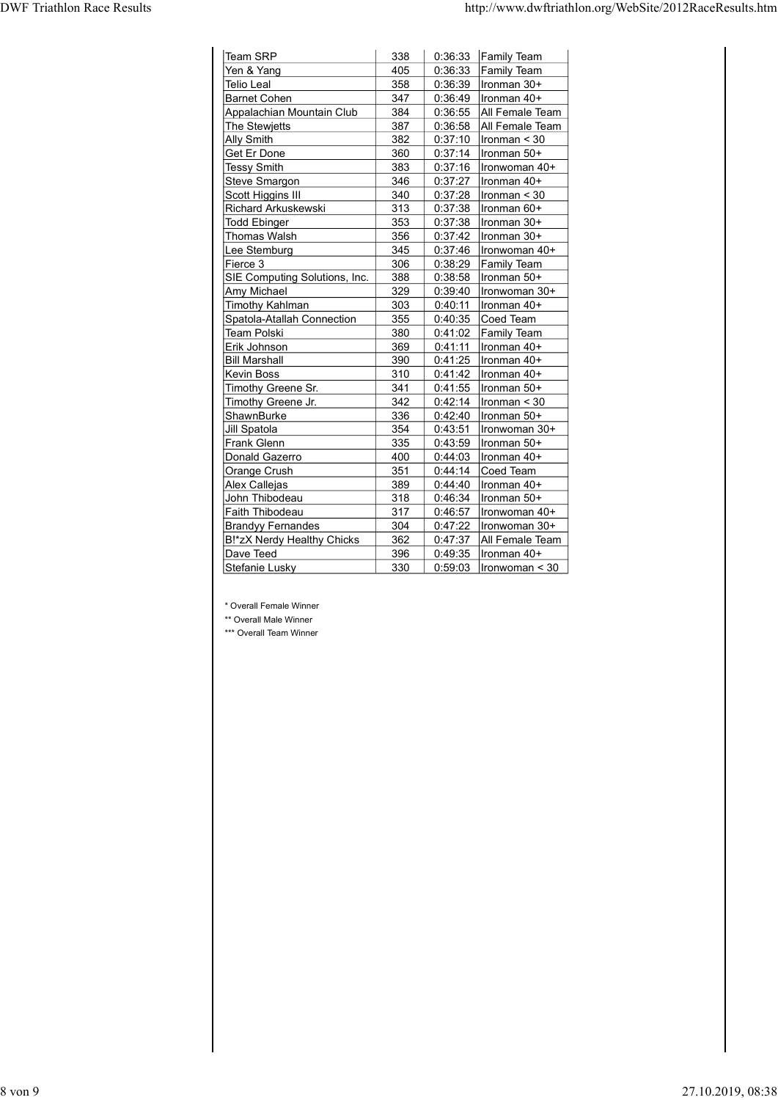|                                              |            |                    | http://www.dwftriathlon.org/WebSite/2012RaceResults.htm |
|----------------------------------------------|------------|--------------------|---------------------------------------------------------|
|                                              |            |                    |                                                         |
|                                              |            |                    |                                                         |
| Team SRP<br>Yen & Yang                       | 338<br>405 | 0:36:33<br>0:36:33 | <b>Family Team</b><br><b>Family Team</b>                |
| Telio Leal                                   | 358        | 0:36:39            | Ironman 30+                                             |
| Barnet Cohen                                 | 347        | 0:36:49            | Ironman 40+                                             |
| Appalachian Mountain Club<br>The Stewjetts   | 384<br>387 | 0:36:55<br>0:36:58 | All Female Team<br>All Female Team                      |
| <b>Ally Smith</b>                            | 382        | 0:37:10            | Ironman $<$ 30                                          |
| Get Er Done                                  | 360        | 0:37:14            | Ironman 50+                                             |
| <b>Tessy Smith</b><br>Steve Smargon          | 383<br>346 | 0:37:16<br>0:37:27 | Ironwoman 40+<br>Ironman 40+                            |
| Scott Higgins III                            | 340        | 0:37:28            | Ironman < 30                                            |
| Richard Arkuskewski                          | 313        | 0:37:38            | Ironman 60+                                             |
| <b>Todd Ebinger</b><br>Thomas Walsh          | 353<br>356 | 0:37:38<br>0:37:42 | Ironman 30+<br>Ironman 30+                              |
| Lee Stemburg                                 | 345        | 0:37:46            | Ironwoman 40+                                           |
| Fierce 3                                     | 306        |                    | $0:38:29$ Family Team                                   |
| SIE Computing Solutions, Inc.<br>Amy Michael | 388<br>329 | 0:38:58            | Ironman 50+<br>$0:39:40$   Ironwoman 30+                |
| Timothy Kahlman                              | 303        | 0:40:11            | Ironman 40+                                             |
| Spatola-Atallah Connection<br>Team Polski    | 355        |                    | $0:40:35$ Coed Team                                     |
| Erik Johnson                                 | 380<br>369 | 0:41:11            | $0:41:02$ Family Team<br>Ironman 40+                    |
| <b>Bill Marshall</b>                         | 390        |                    | $0:41:25$  Ironman 40+                                  |
| Kevin Boss<br>Timothy Greene Sr.             | 310<br>341 |                    | $0:41:42$   Ironman 40+<br>0:41:55   Ironman 50+        |
| Timothy Greene Jr.                           | 342        |                    | 0:42:14   Ironman < 30                                  |
| ShawnBurke                                   | 336        | 0:42:40            | Ironman 50+                                             |
| Jill Spatola<br>Frank Glenn                  | 354<br>335 | 0:43:51            | Ironwoman 30+<br>$0:43:59$   Ironman $50+$              |
| Donald Gazerro                               | 400        | 0:44:03            | Ironman 40+                                             |
| Orange Crush                                 | 351        |                    | $0:44:14$ Coed Team                                     |
| Alex Callejas<br>John Thibodeau              | 389<br>318 | 0:44:40            | Ironman 40+<br>$0:46:34$   Ironman 50+                  |
| Faith Thibodeau                              | 317        |                    | $0:46:57$   Ironwoman 40+                               |
| <b>Brandyy Fernandes</b>                     | 304        |                    | $0:47:22$   Ironwoman 30+                               |
|                                              | 362<br>396 |                    | 0:47:37 All Female Team<br>0:49:35   Ironman 40+        |
| B!*zX Nerdy Healthy Chicks<br>Dave Teed      | 330        |                    | $0:59:03$  Ironwoman < 30                               |